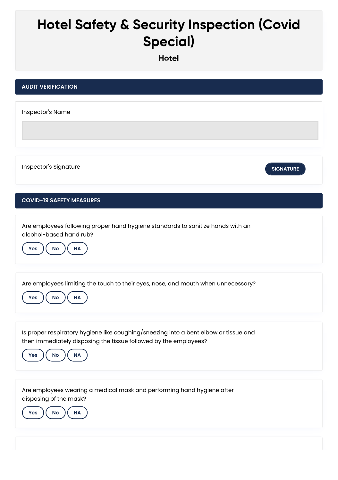## **Hotel Safety & Security Inspection (Covid Special)**

**Hotel**

| <b>AUDIT VERIFICATION</b>                                                                                                                                                         |
|-----------------------------------------------------------------------------------------------------------------------------------------------------------------------------------|
| Inspector's Name                                                                                                                                                                  |
| Inspector's Signature<br><b>SIGNATURE</b>                                                                                                                                         |
| <b>COVID-19 SAFETY MEASURES</b>                                                                                                                                                   |
| Are employees following proper hand hygiene standards to sanitize hands with an<br>alcohol-based hand rub?<br>No<br>NA<br>Yes                                                     |
| Are employees limiting the touch to their eyes, nose, and mouth when unnecessary?<br><b>No</b><br><b>NA</b><br><b>Yes</b>                                                         |
| Is proper respiratory hygiene like coughing/sneezing into a bent elbow or tissue and<br>then immediately disposing the tissue followed by the employees?<br>No<br>$\sf NA$<br>Yes |
| Are employees wearing a medical mask and performing hand hygiene after<br>disposing of the mask?<br>Yes<br><b>No</b><br><b>NA</b>                                                 |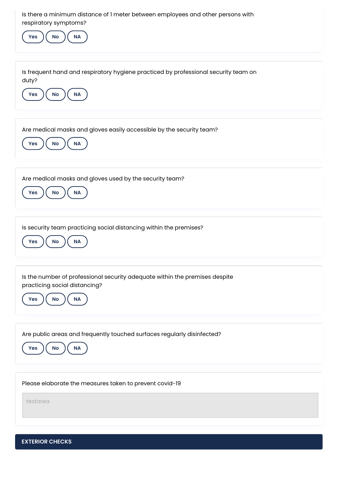| Is there a minimum distance of I meter between employees and other persons with<br>respiratory symptoms?<br>$\mathsf{No}$<br>Yes<br>$\sf NA$         |
|------------------------------------------------------------------------------------------------------------------------------------------------------|
| Is frequent hand and respiratory hygiene practiced by professional security team on<br>duty?<br>No<br>$\mathsf{NA}$<br>Yes                           |
| Are medical masks and gloves easily accessible by the security team?<br>$\mathsf{No}$<br>$\sf NA$<br>Yes                                             |
| Are medical masks and gloves used by the security team?<br>No<br>$\sf NA$<br>Yes                                                                     |
| Is security team practicing social distancing within the premises?<br><b>No</b><br>NA<br>Yes                                                         |
| Is the number of professional security adequate within the premises despite<br>practicing social distancing?<br><b>No</b><br><b>NA</b><br><b>Yes</b> |
| Are public areas and frequently touched surfaces regularly disinfected?<br>$\sf NA$<br><b>No</b><br>Yes                                              |
| Please elaborate the measures taken to prevent covid-19<br>textarea                                                                                  |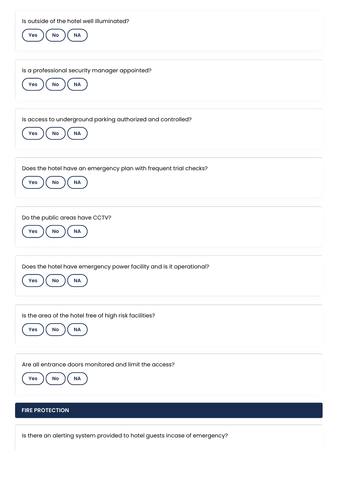| Is outside of the hotel well illuminated?<br>No<br>$\sf NA$<br>Yes                                 |
|----------------------------------------------------------------------------------------------------|
| Is a professional security manager appointed?<br><b>NA</b><br>Yes<br>No                            |
| Is access to underground parking authorized and controlled?<br>$\mathsf{No}$<br><b>NA</b><br>Yes   |
| Does the hotel have an emergency plan with frequent trial checks?<br>No<br><b>NA</b><br><b>Yes</b> |
| Do the public areas have CCTV?<br>Yes<br>No<br><b>NA</b>                                           |
| Does the hotel have emergency power facility and is it operational?<br>$\mathsf{No}$<br>NA<br>Yes  |
| Is the area of the hotel free of high risk facilities?<br>$\sf NA$<br>$\mathsf{No}$<br>Yes         |
| Are all entrance doors monitored and limit the access?<br>No<br>Yes<br><b>NA</b>                   |
| <b>FIRE PROTECTION</b>                                                                             |

Is there an alerting system provided to hotel guests incase of emergency?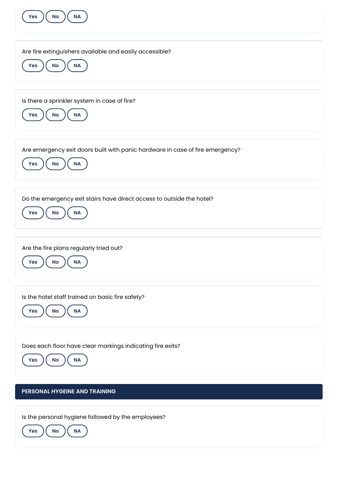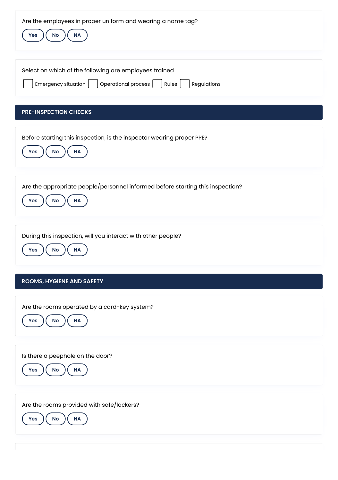**PRE-INSPECTION CHECKS ROOMS, HYGIENE AND SAFETY** Are the employees in proper uniform and wearing a name tag? **Yes**  $\left(\begin{array}{c} \mathsf{No} \end{array}\right)$  **NA** Select on which of the following are employees trained Emergency situation | | Operational process | | Rules | | Regulations Before starting this inspection, is the inspector wearing proper PPE? **Yes**  $\left(\begin{array}{c} \mathsf{No} \end{array}\right)$  ( NA Are the appropriate people/personnel informed before starting this inspection? **Yes**  $\left(\begin{array}{c} \mathsf{No} \end{array}\right)$  ( NA During this inspection, will you interact with other people? **Yes No NA** Are the rooms operated by a card-key system? **Yes**  $\left(\begin{array}{c} \mathsf{No} \end{array}\right)$  **NA** Is there a peephole on the door? **Yes**  $\left(\begin{array}{c} \mathsf{No} \end{array}\right)$  ( NA Are the rooms provided with safe/lockers? **Yes**  $\left(\begin{array}{c} \mathsf{No} \end{array}\right)$  ( NA